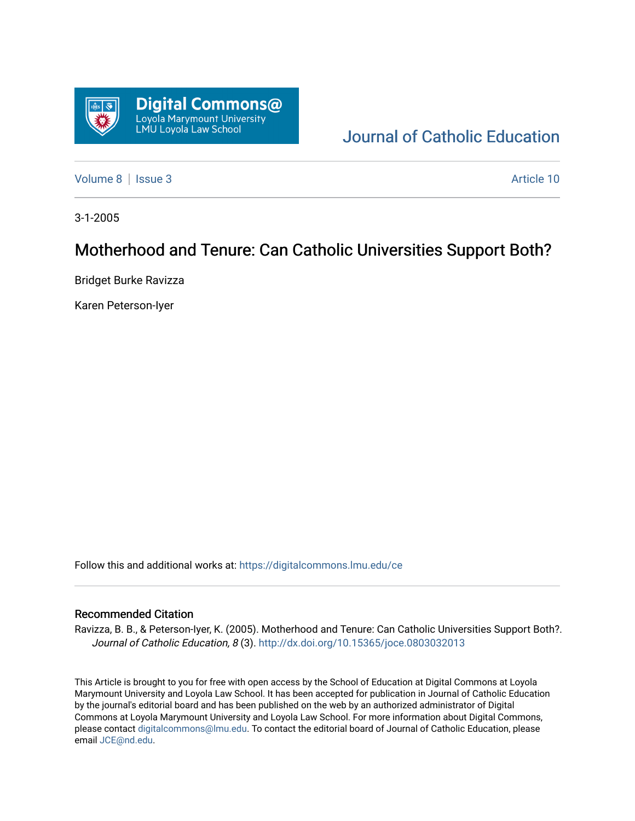

# [Journal of Catholic Education](https://digitalcommons.lmu.edu/ce)

[Volume 8](https://digitalcommons.lmu.edu/ce/vol8) | [Issue 3](https://digitalcommons.lmu.edu/ce/vol8/iss3) Article 10

3-1-2005

# Motherhood and Tenure: Can Catholic Universities Support Both?

Bridget Burke Ravizza

Karen Peterson-Iyer

Follow this and additional works at: [https://digitalcommons.lmu.edu/ce](https://digitalcommons.lmu.edu/ce?utm_source=digitalcommons.lmu.edu%2Fce%2Fvol8%2Fiss3%2F10&utm_medium=PDF&utm_campaign=PDFCoverPages)

#### Recommended Citation

Ravizza, B. B., & Peterson-Iyer, K. (2005). Motherhood and Tenure: Can Catholic Universities Support Both?. Journal of Catholic Education, 8 (3). <http://dx.doi.org/10.15365/joce.0803032013>

This Article is brought to you for free with open access by the School of Education at Digital Commons at Loyola Marymount University and Loyola Law School. It has been accepted for publication in Journal of Catholic Education by the journal's editorial board and has been published on the web by an authorized administrator of Digital Commons at Loyola Marymount University and Loyola Law School. For more information about Digital Commons, please contact [digitalcommons@lmu.edu](mailto:digitalcommons@lmu.edu). To contact the editorial board of Journal of Catholic Education, please email [JCE@nd.edu](mailto:JCE@nd.edu).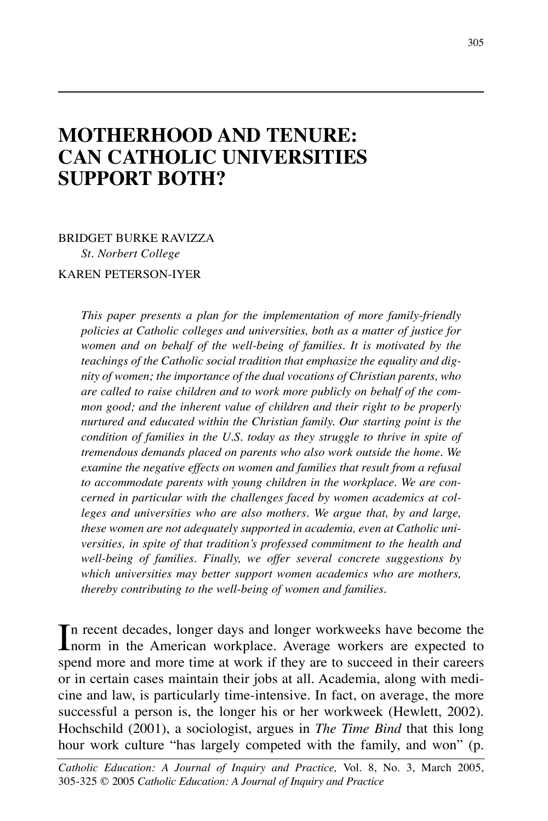# **MOTHERHOOD AND TENURE: CAN CATHOLIC UNIVERSITIES SUPPORT BOTH?**

BRIDGET BURKE RAVIZZA *St. Norbert College* KAREN PETERSON-IYER

> *This paper presents a plan for the implementation of more family-friendly policies at Catholic colleges and universities, both as a matter of justice for women and on behalf of the well-being of families. It is motivated by the teachings of the Catholic social tradition that emphasize the equality and dignity of women; the importance of the dual vocations of Christian parents, who are called to raise children and to work more publicly on behalf of the common good; and the inherent value of children and their right to be properly nurtured and educated within the Christian family. Our starting point is the condition of families in the U.S. today as they struggle to thrive in spite of tremendous demands placed on parents who also work outside the home. We examine the negative effects on women and families that result from a refusal to accommodate parents with young children in the workplace. We are concerned in particular with the challenges faced by women academics at colleges and universities who are also mothers. We argue that, by and large, these women are not adequately supported in academia, even at Catholic universities, in spite of that tradition's professed commitment to the health and well-being of families. Finally, we offer several concrete suggestions by which universities may better support women academics who are mothers, thereby contributing to the well-being of women and families.*

In recent decades, longer days and longer workweeks have become the hnorm in the American workplace. Average workers are expected to n recent decades, longer days and longer workweeks have become the spend more and more time at work if they are to succeed in their careers or in certain cases maintain their jobs at all. Academia, along with medicine and law, is particularly time-intensive. In fact, on average, the more successful a person is, the longer his or her workweek (Hewlett, 2002). Hochschild (2001), a sociologist, argues in *The Time Bind* that this long hour work culture "has largely competed with the family, and won" (p.

*Catholic Education: A Journal of Inquiry and Practice,* Vol. 8, No. 3, March 2005, 305-325 © 2005 *Catholic Education: A Journal of Inquiry and Practice*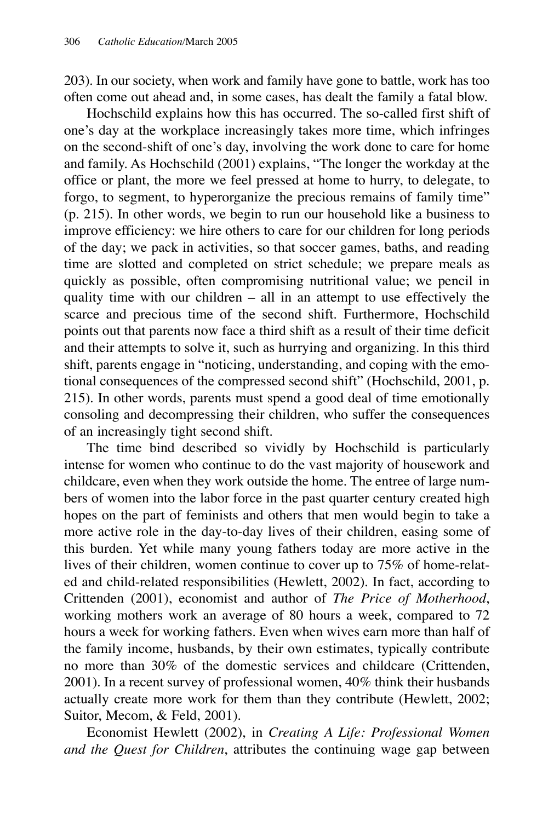203). In our society, when work and family have gone to battle, work has too often come out ahead and, in some cases, has dealt the family a fatal blow.

Hochschild explains how this has occurred. The so-called first shift of one's day at the workplace increasingly takes more time, which infringes on the second-shift of one's day, involving the work done to care for home and family. As Hochschild (2001) explains, "The longer the workday at the office or plant, the more we feel pressed at home to hurry, to delegate, to forgo, to segment, to hyperorganize the precious remains of family time" (p. 215). In other words, we begin to run our household like a business to improve efficiency: we hire others to care for our children for long periods of the day; we pack in activities, so that soccer games, baths, and reading time are slotted and completed on strict schedule; we prepare meals as quickly as possible, often compromising nutritional value; we pencil in quality time with our children – all in an attempt to use effectively the scarce and precious time of the second shift. Furthermore, Hochschild points out that parents now face a third shift as a result of their time deficit and their attempts to solve it, such as hurrying and organizing. In this third shift, parents engage in "noticing, understanding, and coping with the emotional consequences of the compressed second shift" (Hochschild, 2001, p. 215). In other words, parents must spend a good deal of time emotionally consoling and decompressing their children, who suffer the consequences of an increasingly tight second shift.

The time bind described so vividly by Hochschild is particularly intense for women who continue to do the vast majority of housework and childcare, even when they work outside the home. The entree of large numbers of women into the labor force in the past quarter century created high hopes on the part of feminists and others that men would begin to take a more active role in the day-to-day lives of their children, easing some of this burden. Yet while many young fathers today are more active in the lives of their children, women continue to cover up to 75% of home-related and child-related responsibilities (Hewlett, 2002). In fact, according to Crittenden (2001), economist and author of *The Price of Motherhood*, working mothers work an average of 80 hours a week, compared to 72 hours a week for working fathers. Even when wives earn more than half of the family income, husbands, by their own estimates, typically contribute no more than 30% of the domestic services and childcare (Crittenden, 2001). In a recent survey of professional women, 40% think their husbands actually create more work for them than they contribute (Hewlett, 2002; Suitor, Mecom, & Feld, 2001).

Economist Hewlett (2002), in *Creating A Life: Professional Women and the Quest for Children*, attributes the continuing wage gap between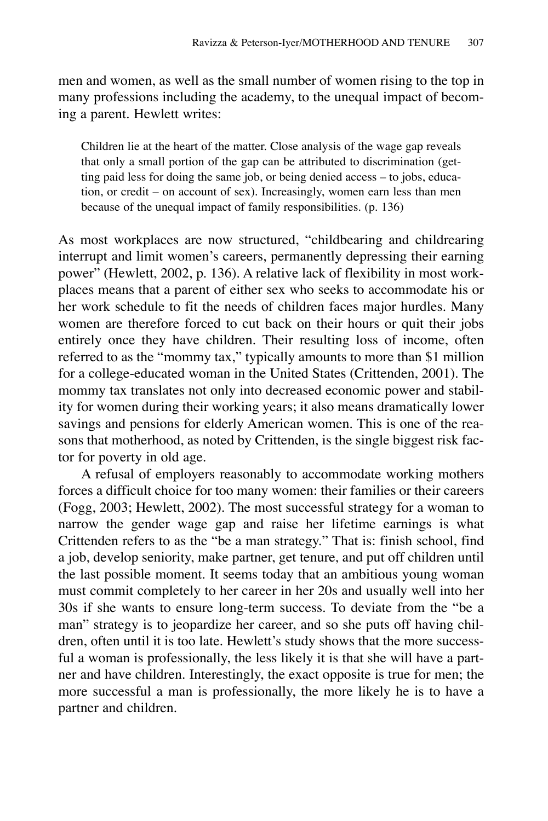men and women, as well as the small number of women rising to the top in many professions including the academy, to the unequal impact of becoming a parent. Hewlett writes:

Children lie at the heart of the matter. Close analysis of the wage gap reveals that only a small portion of the gap can be attributed to discrimination (getting paid less for doing the same job, or being denied access – to jobs, education, or credit – on account of sex). Increasingly, women earn less than men because of the unequal impact of family responsibilities. (p. 136)

As most workplaces are now structured, "childbearing and childrearing interrupt and limit women's careers, permanently depressing their earning power" (Hewlett, 2002, p. 136). A relative lack of flexibility in most workplaces means that a parent of either sex who seeks to accommodate his or her work schedule to fit the needs of children faces major hurdles. Many women are therefore forced to cut back on their hours or quit their jobs entirely once they have children. Their resulting loss of income, often referred to as the "mommy tax," typically amounts to more than \$1 million for a college-educated woman in the United States (Crittenden, 2001). The mommy tax translates not only into decreased economic power and stability for women during their working years; it also means dramatically lower savings and pensions for elderly American women. This is one of the reasons that motherhood, as noted by Crittenden, is the single biggest risk factor for poverty in old age.

A refusal of employers reasonably to accommodate working mothers forces a difficult choice for too many women: their families or their careers (Fogg, 2003; Hewlett, 2002). The most successful strategy for a woman to narrow the gender wage gap and raise her lifetime earnings is what Crittenden refers to as the "be a man strategy." That is: finish school, find a job, develop seniority, make partner, get tenure, and put off children until the last possible moment. It seems today that an ambitious young woman must commit completely to her career in her 20s and usually well into her 30s if she wants to ensure long-term success. To deviate from the "be a man" strategy is to jeopardize her career, and so she puts off having children, often until it is too late. Hewlett's study shows that the more successful a woman is professionally, the less likely it is that she will have a partner and have children. Interestingly, the exact opposite is true for men; the more successful a man is professionally, the more likely he is to have a partner and children.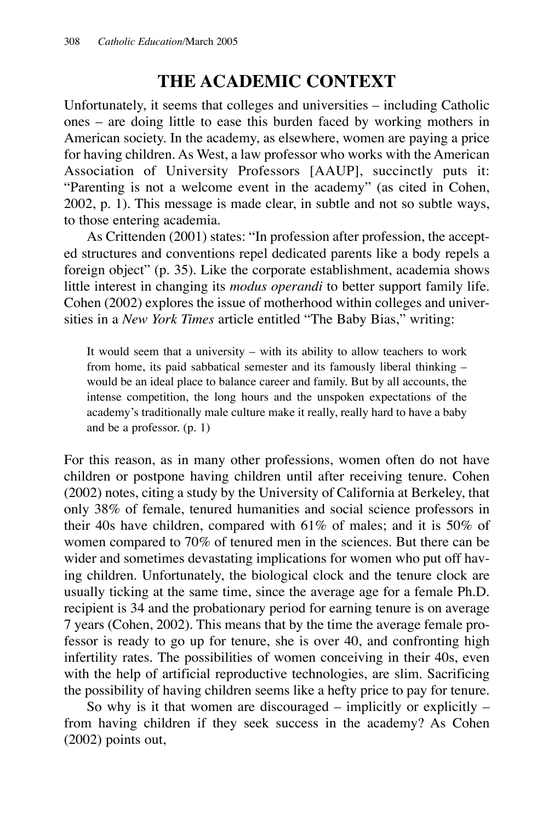## **THE ACADEMIC CONTEXT**

Unfortunately, it seems that colleges and universities – including Catholic ones – are doing little to ease this burden faced by working mothers in American society. In the academy, as elsewhere, women are paying a price for having children. As West, a law professor who works with the American Association of University Professors [AAUP], succinctly puts it: "Parenting is not a welcome event in the academy" (as cited in Cohen, 2002, p. 1). This message is made clear, in subtle and not so subtle ways, to those entering academia.

As Crittenden (2001) states: "In profession after profession, the accepted structures and conventions repel dedicated parents like a body repels a foreign object" (p. 35). Like the corporate establishment, academia shows little interest in changing its *modus operandi* to better support family life. Cohen (2002) explores the issue of motherhood within colleges and universities in a *New York Times* article entitled "The Baby Bias," writing:

It would seem that a university – with its ability to allow teachers to work from home, its paid sabbatical semester and its famously liberal thinking – would be an ideal place to balance career and family. But by all accounts, the intense competition, the long hours and the unspoken expectations of the academy's traditionally male culture make it really, really hard to have a baby and be a professor. (p. 1)

For this reason, as in many other professions, women often do not have children or postpone having children until after receiving tenure. Cohen (2002) notes, citing a study by the University of California at Berkeley, that only 38% of female, tenured humanities and social science professors in their 40s have children, compared with 61% of males; and it is 50% of women compared to 70% of tenured men in the sciences. But there can be wider and sometimes devastating implications for women who put off having children. Unfortunately, the biological clock and the tenure clock are usually ticking at the same time, since the average age for a female Ph.D. recipient is 34 and the probationary period for earning tenure is on average 7 years (Cohen, 2002). This means that by the time the average female professor is ready to go up for tenure, she is over 40, and confronting high infertility rates. The possibilities of women conceiving in their 40s, even with the help of artificial reproductive technologies, are slim. Sacrificing the possibility of having children seems like a hefty price to pay for tenure.

So why is it that women are discouraged – implicitly or explicitly – from having children if they seek success in the academy? As Cohen (2002) points out,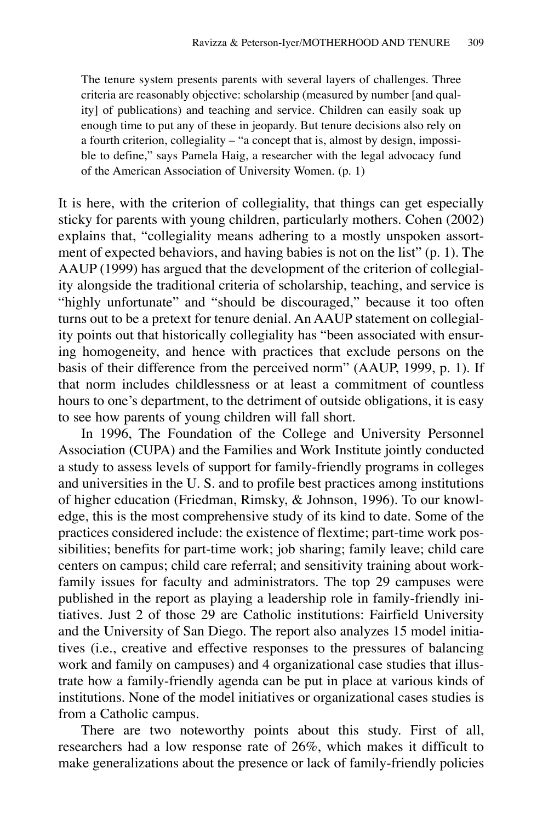The tenure system presents parents with several layers of challenges. Three criteria are reasonably objective: scholarship (measured by number [and quality] of publications) and teaching and service. Children can easily soak up enough time to put any of these in jeopardy. But tenure decisions also rely on a fourth criterion, collegiality – "a concept that is, almost by design, impossible to define," says Pamela Haig, a researcher with the legal advocacy fund of the American Association of University Women. (p. 1)

It is here, with the criterion of collegiality, that things can get especially sticky for parents with young children, particularly mothers. Cohen (2002) explains that, "collegiality means adhering to a mostly unspoken assortment of expected behaviors, and having babies is not on the list" (p. 1). The AAUP (1999) has argued that the development of the criterion of collegiality alongside the traditional criteria of scholarship, teaching, and service is "highly unfortunate" and "should be discouraged," because it too often turns out to be a pretext for tenure denial. An AAUP statement on collegiality points out that historically collegiality has "been associated with ensuring homogeneity, and hence with practices that exclude persons on the basis of their difference from the perceived norm" (AAUP, 1999, p. 1). If that norm includes childlessness or at least a commitment of countless hours to one's department, to the detriment of outside obligations, it is easy to see how parents of young children will fall short.

In 1996, The Foundation of the College and University Personnel Association (CUPA) and the Families and Work Institute jointly conducted a study to assess levels of support for family-friendly programs in colleges and universities in the U. S. and to profile best practices among institutions of higher education (Friedman, Rimsky, & Johnson, 1996). To our knowledge, this is the most comprehensive study of its kind to date. Some of the practices considered include: the existence of flextime; part-time work possibilities; benefits for part-time work; job sharing; family leave; child care centers on campus; child care referral; and sensitivity training about workfamily issues for faculty and administrators. The top 29 campuses were published in the report as playing a leadership role in family-friendly initiatives. Just 2 of those 29 are Catholic institutions: Fairfield University and the University of San Diego. The report also analyzes 15 model initiatives (i.e., creative and effective responses to the pressures of balancing work and family on campuses) and 4 organizational case studies that illustrate how a family-friendly agenda can be put in place at various kinds of institutions. None of the model initiatives or organizational cases studies is from a Catholic campus.

There are two noteworthy points about this study. First of all, researchers had a low response rate of 26%, which makes it difficult to make generalizations about the presence or lack of family-friendly policies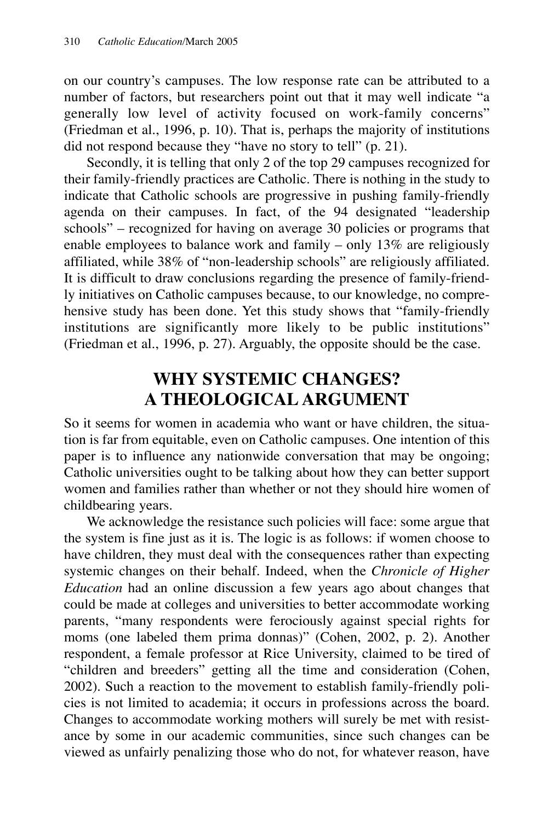on our country's campuses. The low response rate can be attributed to a number of factors, but researchers point out that it may well indicate "a generally low level of activity focused on work-family concerns" (Friedman et al., 1996, p. 10). That is, perhaps the majority of institutions did not respond because they "have no story to tell" (p. 21).

Secondly, it is telling that only 2 of the top 29 campuses recognized for their family-friendly practices are Catholic. There is nothing in the study to indicate that Catholic schools are progressive in pushing family-friendly agenda on their campuses. In fact, of the 94 designated "leadership schools" – recognized for having on average 30 policies or programs that enable employees to balance work and family – only 13% are religiously affiliated, while 38% of "non-leadership schools" are religiously affiliated. It is difficult to draw conclusions regarding the presence of family-friendly initiatives on Catholic campuses because, to our knowledge, no comprehensive study has been done. Yet this study shows that "family-friendly institutions are significantly more likely to be public institutions" (Friedman et al., 1996, p. 27). Arguably, the opposite should be the case.

## **WHY SYSTEMIC CHANGES? A THEOLOGICAL ARGUMENT**

So it seems for women in academia who want or have children, the situation is far from equitable, even on Catholic campuses. One intention of this paper is to influence any nationwide conversation that may be ongoing; Catholic universities ought to be talking about how they can better support women and families rather than whether or not they should hire women of childbearing years.

We acknowledge the resistance such policies will face: some argue that the system is fine just as it is. The logic is as follows: if women choose to have children, they must deal with the consequences rather than expecting systemic changes on their behalf. Indeed, when the *Chronicle of Higher Education* had an online discussion a few years ago about changes that could be made at colleges and universities to better accommodate working parents, "many respondents were ferociously against special rights for moms (one labeled them prima donnas)" (Cohen, 2002, p. 2). Another respondent, a female professor at Rice University, claimed to be tired of "children and breeders" getting all the time and consideration (Cohen, 2002). Such a reaction to the movement to establish family-friendly policies is not limited to academia; it occurs in professions across the board. Changes to accommodate working mothers will surely be met with resistance by some in our academic communities, since such changes can be viewed as unfairly penalizing those who do not, for whatever reason, have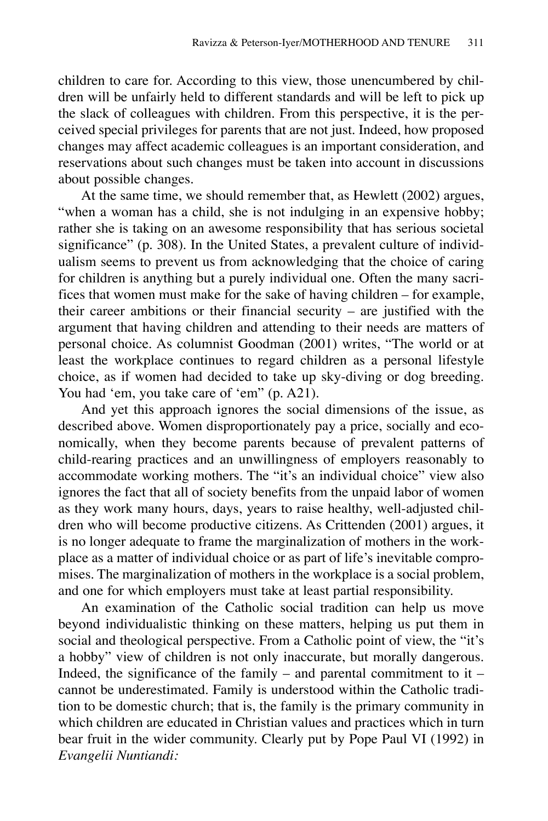children to care for. According to this view, those unencumbered by children will be unfairly held to different standards and will be left to pick up the slack of colleagues with children. From this perspective, it is the perceived special privileges for parents that are not just. Indeed, how proposed changes may affect academic colleagues is an important consideration, and reservations about such changes must be taken into account in discussions about possible changes.

At the same time, we should remember that, as Hewlett (2002) argues, "when a woman has a child, she is not indulging in an expensive hobby; rather she is taking on an awesome responsibility that has serious societal significance" (p. 308). In the United States, a prevalent culture of individualism seems to prevent us from acknowledging that the choice of caring for children is anything but a purely individual one. Often the many sacrifices that women must make for the sake of having children – for example, their career ambitions or their financial security – are justified with the argument that having children and attending to their needs are matters of personal choice. As columnist Goodman (2001) writes, "The world or at least the workplace continues to regard children as a personal lifestyle choice, as if women had decided to take up sky-diving or dog breeding. You had 'em, you take care of 'em" (p. A21).

And yet this approach ignores the social dimensions of the issue, as described above. Women disproportionately pay a price, socially and economically, when they become parents because of prevalent patterns of child-rearing practices and an unwillingness of employers reasonably to accommodate working mothers. The "it's an individual choice" view also ignores the fact that all of society benefits from the unpaid labor of women as they work many hours, days, years to raise healthy, well-adjusted children who will become productive citizens. As Crittenden (2001) argues, it is no longer adequate to frame the marginalization of mothers in the workplace as a matter of individual choice or as part of life's inevitable compromises. The marginalization of mothers in the workplace is a social problem, and one for which employers must take at least partial responsibility.

An examination of the Catholic social tradition can help us move beyond individualistic thinking on these matters, helping us put them in social and theological perspective. From a Catholic point of view, the "it's a hobby" view of children is not only inaccurate, but morally dangerous. Indeed, the significance of the family – and parental commitment to it – cannot be underestimated. Family is understood within the Catholic tradition to be domestic church; that is, the family is the primary community in which children are educated in Christian values and practices which in turn bear fruit in the wider community. Clearly put by Pope Paul VI (1992) in *Evangelii Nuntiandi:*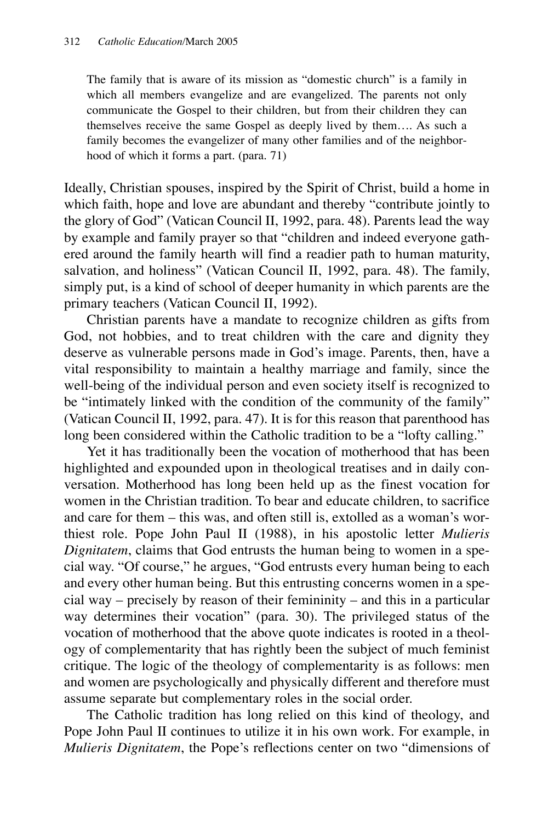The family that is aware of its mission as "domestic church" is a family in which all members evangelize and are evangelized. The parents not only communicate the Gospel to their children, but from their children they can themselves receive the same Gospel as deeply lived by them…. As such a family becomes the evangelizer of many other families and of the neighborhood of which it forms a part. (para. 71)

Ideally, Christian spouses, inspired by the Spirit of Christ, build a home in which faith, hope and love are abundant and thereby "contribute jointly to the glory of God" (Vatican Council II, 1992, para. 48). Parents lead the way by example and family prayer so that "children and indeed everyone gathered around the family hearth will find a readier path to human maturity, salvation, and holiness" (Vatican Council II, 1992, para. 48). The family, simply put, is a kind of school of deeper humanity in which parents are the primary teachers (Vatican Council II, 1992).

Christian parents have a mandate to recognize children as gifts from God, not hobbies, and to treat children with the care and dignity they deserve as vulnerable persons made in God's image. Parents, then, have a vital responsibility to maintain a healthy marriage and family, since the well-being of the individual person and even society itself is recognized to be "intimately linked with the condition of the community of the family" (Vatican Council II, 1992, para. 47). It is for this reason that parenthood has long been considered within the Catholic tradition to be a "lofty calling."

Yet it has traditionally been the vocation of motherhood that has been highlighted and expounded upon in theological treatises and in daily conversation. Motherhood has long been held up as the finest vocation for women in the Christian tradition. To bear and educate children, to sacrifice and care for them – this was, and often still is, extolled as a woman's worthiest role. Pope John Paul II (1988), in his apostolic letter *Mulieris Dignitatem*, claims that God entrusts the human being to women in a special way. "Of course," he argues, "God entrusts every human being to each and every other human being. But this entrusting concerns women in a special way – precisely by reason of their femininity – and this in a particular way determines their vocation" (para. 30). The privileged status of the vocation of motherhood that the above quote indicates is rooted in a theology of complementarity that has rightly been the subject of much feminist critique. The logic of the theology of complementarity is as follows: men and women are psychologically and physically different and therefore must assume separate but complementary roles in the social order.

The Catholic tradition has long relied on this kind of theology, and Pope John Paul II continues to utilize it in his own work. For example, in *Mulieris Dignitatem*, the Pope's reflections center on two "dimensions of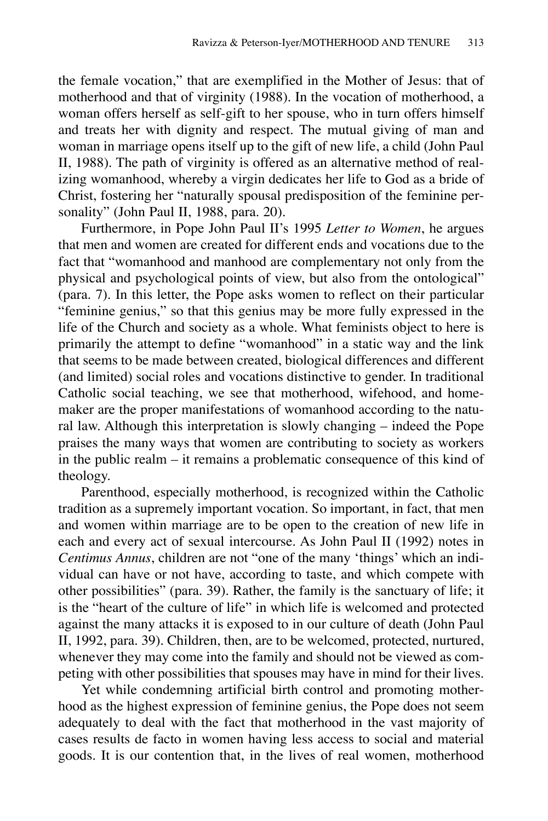the female vocation," that are exemplified in the Mother of Jesus: that of motherhood and that of virginity (1988). In the vocation of motherhood, a woman offers herself as self-gift to her spouse, who in turn offers himself and treats her with dignity and respect. The mutual giving of man and woman in marriage opens itself up to the gift of new life, a child (John Paul II, 1988). The path of virginity is offered as an alternative method of realizing womanhood, whereby a virgin dedicates her life to God as a bride of Christ, fostering her "naturally spousal predisposition of the feminine personality" (John Paul II, 1988, para. 20).

Furthermore, in Pope John Paul II's 1995 *Letter to Women*, he argues that men and women are created for different ends and vocations due to the fact that "womanhood and manhood are complementary not only from the physical and psychological points of view, but also from the ontological" (para. 7). In this letter, the Pope asks women to reflect on their particular "feminine genius," so that this genius may be more fully expressed in the life of the Church and society as a whole. What feminists object to here is primarily the attempt to define "womanhood" in a static way and the link that seems to be made between created, biological differences and different (and limited) social roles and vocations distinctive to gender. In traditional Catholic social teaching, we see that motherhood, wifehood, and homemaker are the proper manifestations of womanhood according to the natural law. Although this interpretation is slowly changing – indeed the Pope praises the many ways that women are contributing to society as workers in the public realm – it remains a problematic consequence of this kind of theology.

Parenthood, especially motherhood, is recognized within the Catholic tradition as a supremely important vocation. So important, in fact, that men and women within marriage are to be open to the creation of new life in each and every act of sexual intercourse. As John Paul II (1992) notes in *Centimus Annus*, children are not "one of the many 'things' which an individual can have or not have, according to taste, and which compete with other possibilities" (para. 39). Rather, the family is the sanctuary of life; it is the "heart of the culture of life" in which life is welcomed and protected against the many attacks it is exposed to in our culture of death (John Paul II, 1992, para. 39). Children, then, are to be welcomed, protected, nurtured, whenever they may come into the family and should not be viewed as competing with other possibilities that spouses may have in mind for their lives.

Yet while condemning artificial birth control and promoting motherhood as the highest expression of feminine genius, the Pope does not seem adequately to deal with the fact that motherhood in the vast majority of cases results de facto in women having less access to social and material goods. It is our contention that, in the lives of real women, motherhood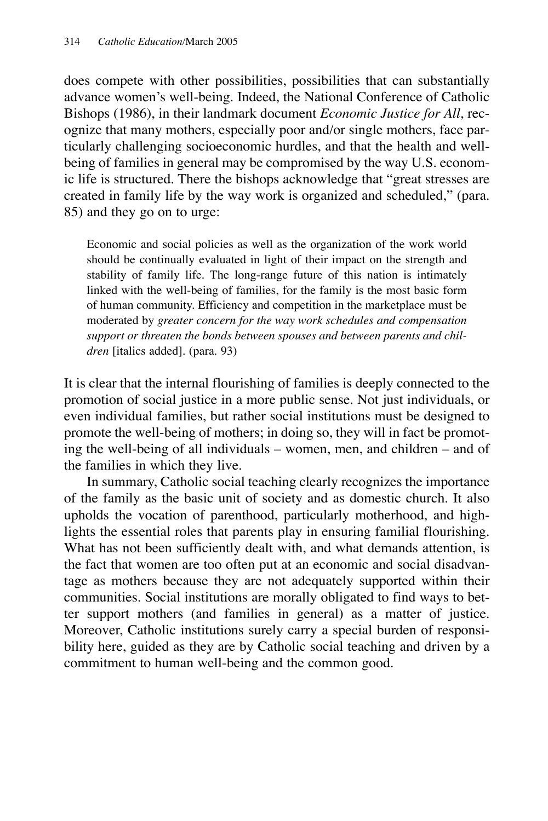does compete with other possibilities, possibilities that can substantially advance women's well-being. Indeed, the National Conference of Catholic Bishops (1986), in their landmark document *Economic Justice for All*, recognize that many mothers, especially poor and/or single mothers, face particularly challenging socioeconomic hurdles, and that the health and wellbeing of families in general may be compromised by the way U.S. economic life is structured. There the bishops acknowledge that "great stresses are created in family life by the way work is organized and scheduled," (para. 85) and they go on to urge:

Economic and social policies as well as the organization of the work world should be continually evaluated in light of their impact on the strength and stability of family life. The long-range future of this nation is intimately linked with the well-being of families, for the family is the most basic form of human community. Efficiency and competition in the marketplace must be moderated by *greater concern for the way work schedules and compensation support or threaten the bonds between spouses and between parents and children* [italics added]. (para. 93)

It is clear that the internal flourishing of families is deeply connected to the promotion of social justice in a more public sense. Not just individuals, or even individual families, but rather social institutions must be designed to promote the well-being of mothers; in doing so, they will in fact be promoting the well-being of all individuals – women, men, and children – and of the families in which they live.

In summary, Catholic social teaching clearly recognizes the importance of the family as the basic unit of society and as domestic church. It also upholds the vocation of parenthood, particularly motherhood, and highlights the essential roles that parents play in ensuring familial flourishing. What has not been sufficiently dealt with, and what demands attention, is the fact that women are too often put at an economic and social disadvantage as mothers because they are not adequately supported within their communities. Social institutions are morally obligated to find ways to better support mothers (and families in general) as a matter of justice. Moreover, Catholic institutions surely carry a special burden of responsibility here, guided as they are by Catholic social teaching and driven by a commitment to human well-being and the common good.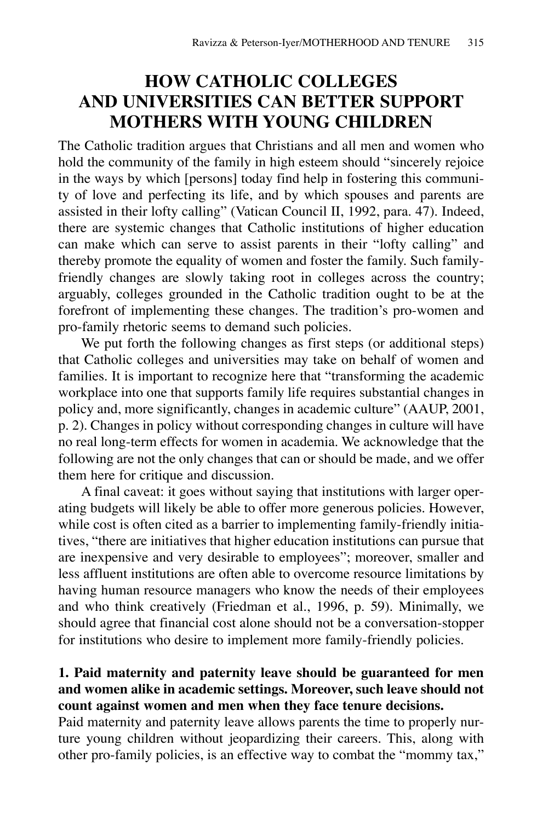## **HOW CATHOLIC COLLEGES AND UNIVERSITIES CAN BETTER SUPPORT MOTHERS WITH YOUNG CHILDREN**

The Catholic tradition argues that Christians and all men and women who hold the community of the family in high esteem should "sincerely rejoice in the ways by which [persons] today find help in fostering this community of love and perfecting its life, and by which spouses and parents are assisted in their lofty calling" (Vatican Council II, 1992, para. 47). Indeed, there are systemic changes that Catholic institutions of higher education can make which can serve to assist parents in their "lofty calling" and thereby promote the equality of women and foster the family. Such familyfriendly changes are slowly taking root in colleges across the country; arguably, colleges grounded in the Catholic tradition ought to be at the forefront of implementing these changes. The tradition's pro-women and pro-family rhetoric seems to demand such policies.

We put forth the following changes as first steps (or additional steps) that Catholic colleges and universities may take on behalf of women and families. It is important to recognize here that "transforming the academic workplace into one that supports family life requires substantial changes in policy and, more significantly, changes in academic culture" (AAUP, 2001, p. 2). Changes in policy without corresponding changes in culture will have no real long-term effects for women in academia. We acknowledge that the following are not the only changes that can or should be made, and we offer them here for critique and discussion.

A final caveat: it goes without saying that institutions with larger operating budgets will likely be able to offer more generous policies. However, while cost is often cited as a barrier to implementing family-friendly initiatives, "there are initiatives that higher education institutions can pursue that are inexpensive and very desirable to employees"; moreover, smaller and less affluent institutions are often able to overcome resource limitations by having human resource managers who know the needs of their employees and who think creatively (Friedman et al., 1996, p. 59). Minimally, we should agree that financial cost alone should not be a conversation-stopper for institutions who desire to implement more family-friendly policies.

### **1. Paid maternity and paternity leave should be guaranteed for men and women alike in academic settings. Moreover, such leave should not count against women and men when they face tenure decisions.**

Paid maternity and paternity leave allows parents the time to properly nurture young children without jeopardizing their careers. This, along with other pro-family policies, is an effective way to combat the "mommy tax,"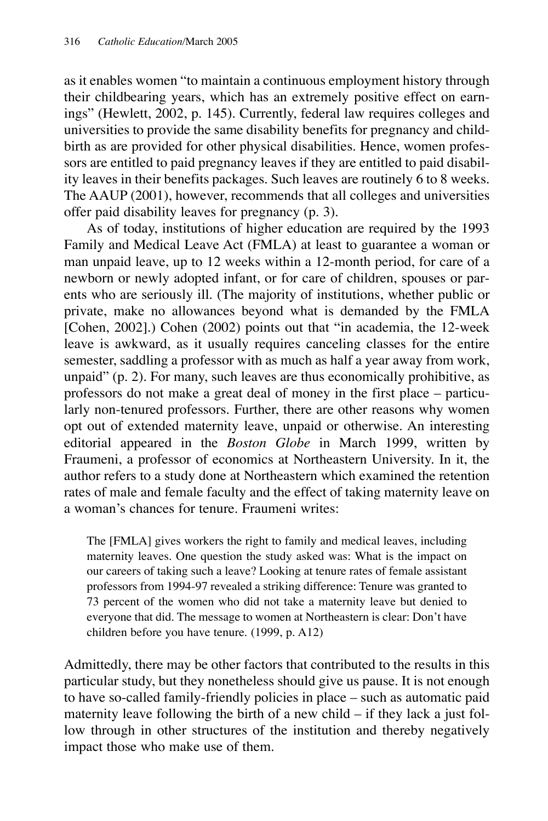as it enables women "to maintain a continuous employment history through their childbearing years, which has an extremely positive effect on earnings" (Hewlett, 2002, p. 145). Currently, federal law requires colleges and universities to provide the same disability benefits for pregnancy and childbirth as are provided for other physical disabilities. Hence, women professors are entitled to paid pregnancy leaves if they are entitled to paid disability leaves in their benefits packages. Such leaves are routinely 6 to 8 weeks. The AAUP (2001), however, recommends that all colleges and universities offer paid disability leaves for pregnancy (p. 3).

As of today, institutions of higher education are required by the 1993 Family and Medical Leave Act (FMLA) at least to guarantee a woman or man unpaid leave, up to 12 weeks within a 12-month period, for care of a newborn or newly adopted infant, or for care of children, spouses or parents who are seriously ill. (The majority of institutions, whether public or private, make no allowances beyond what is demanded by the FMLA [Cohen, 2002].) Cohen (2002) points out that "in academia, the 12-week leave is awkward, as it usually requires canceling classes for the entire semester, saddling a professor with as much as half a year away from work, unpaid" (p. 2). For many, such leaves are thus economically prohibitive, as professors do not make a great deal of money in the first place – particularly non-tenured professors. Further, there are other reasons why women opt out of extended maternity leave, unpaid or otherwise. An interesting editorial appeared in the *Boston Globe* in March 1999, written by Fraumeni, a professor of economics at Northeastern University. In it, the author refers to a study done at Northeastern which examined the retention rates of male and female faculty and the effect of taking maternity leave on a woman's chances for tenure. Fraumeni writes:

The [FMLA] gives workers the right to family and medical leaves, including maternity leaves. One question the study asked was: What is the impact on our careers of taking such a leave? Looking at tenure rates of female assistant professors from 1994-97 revealed a striking difference: Tenure was granted to 73 percent of the women who did not take a maternity leave but denied to everyone that did. The message to women at Northeastern is clear: Don't have children before you have tenure. (1999, p. A12)

Admittedly, there may be other factors that contributed to the results in this particular study, but they nonetheless should give us pause. It is not enough to have so-called family-friendly policies in place – such as automatic paid maternity leave following the birth of a new child – if they lack a just follow through in other structures of the institution and thereby negatively impact those who make use of them.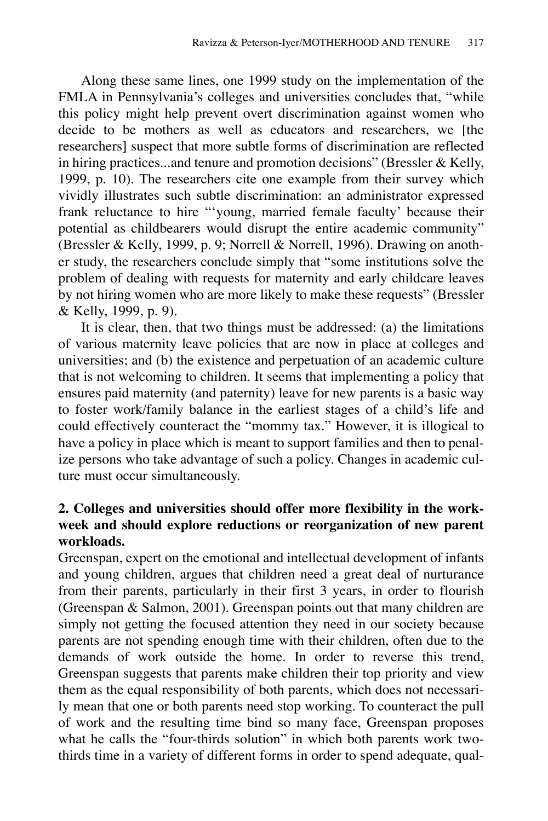Along these same lines, one 1999 study on the implementation of the FMLA in Pennsylvania's colleges and universities concludes that, "while this policy might help prevent overt discrimination against women who decide to be mothers as well as educators and researchers, we [the researchers] suspect that more subtle forms of discrimination are reflected in hiring practices...and tenure and promotion decisions" (Bressler & Kelly, 1999, p. 10). The researchers cite one example from their survey which vividly illustrates such subtle discrimination: an administrator expressed frank reluctance to hire "'young, married female faculty' because their potential as childbearers would disrupt the entire academic community" (Bressler & Kelly, 1999, p. 9; Norrell & Norrell, 1996). Drawing on another study, the researchers conclude simply that "some institutions solve the problem of dealing with requests for maternity and early childcare leaves by not hiring women who are more likely to make these requests" (Bressler & Kelly, 1999, p. 9).

It is clear, then, that two things must be addressed: (a) the limitations of various maternity leave policies that are now in place at colleges and universities; and (b) the existence and perpetuation of an academic culture that is not welcoming to children. It seems that implementing a policy that ensures paid maternity (and paternity) leave for new parents is a basic way to foster work/family balance in the earliest stages of a child's life and could effectively counteract the "mommy tax." However, it is illogical to have a policy in place which is meant to support families and then to penalize persons who take advantage of such a policy. Changes in academic culture must occur simultaneously.

## **2. Colleges and universities should offer more flexibility in the workweek and should explore reductions or reorganization of new parent workloads.**

Greenspan, expert on the emotional and intellectual development of infants and young children, argues that children need a great deal of nurturance from their parents, particularly in their first 3 years, in order to flourish (Greenspan & Salmon, 2001). Greenspan points out that many children are simply not getting the focused attention they need in our society because parents are not spending enough time with their children, often due to the demands of work outside the home. In order to reverse this trend, Greenspan suggests that parents make children their top priority and view them as the equal responsibility of both parents, which does not necessarily mean that one or both parents need stop working. To counteract the pull of work and the resulting time bind so many face, Greenspan proposes what he calls the "four-thirds solution" in which both parents work twothirds time in a variety of different forms in order to spend adequate, qual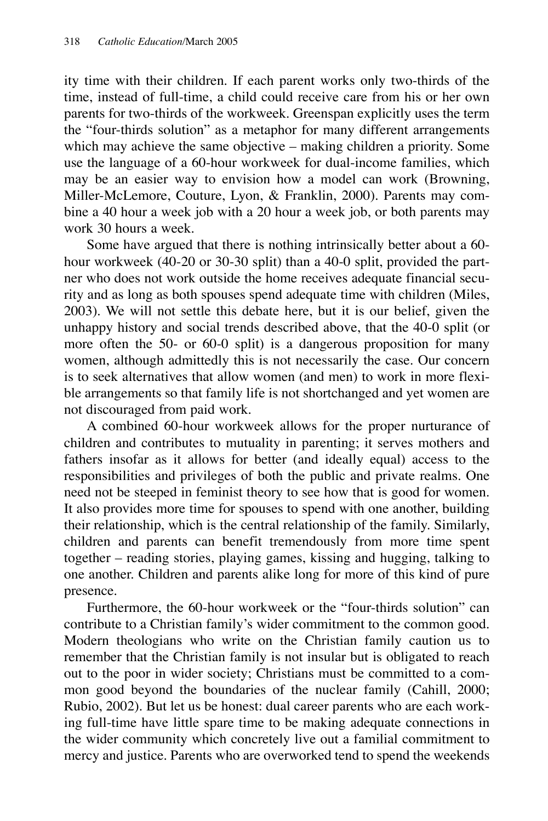ity time with their children. If each parent works only two-thirds of the time, instead of full-time, a child could receive care from his or her own parents for two-thirds of the workweek. Greenspan explicitly uses the term the "four-thirds solution" as a metaphor for many different arrangements which may achieve the same objective – making children a priority. Some use the language of a 60-hour workweek for dual-income families, which may be an easier way to envision how a model can work (Browning, Miller-McLemore, Couture, Lyon, & Franklin, 2000). Parents may combine a 40 hour a week job with a 20 hour a week job, or both parents may work 30 hours a week.

Some have argued that there is nothing intrinsically better about a 60 hour workweek (40-20 or 30-30 split) than a 40-0 split, provided the partner who does not work outside the home receives adequate financial security and as long as both spouses spend adequate time with children (Miles, 2003). We will not settle this debate here, but it is our belief, given the unhappy history and social trends described above, that the 40-0 split (or more often the 50- or 60-0 split) is a dangerous proposition for many women, although admittedly this is not necessarily the case. Our concern is to seek alternatives that allow women (and men) to work in more flexible arrangements so that family life is not shortchanged and yet women are not discouraged from paid work.

A combined 60-hour workweek allows for the proper nurturance of children and contributes to mutuality in parenting; it serves mothers and fathers insofar as it allows for better (and ideally equal) access to the responsibilities and privileges of both the public and private realms. One need not be steeped in feminist theory to see how that is good for women. It also provides more time for spouses to spend with one another, building their relationship, which is the central relationship of the family. Similarly, children and parents can benefit tremendously from more time spent together – reading stories, playing games, kissing and hugging, talking to one another. Children and parents alike long for more of this kind of pure presence.

Furthermore, the 60-hour workweek or the "four-thirds solution" can contribute to a Christian family's wider commitment to the common good. Modern theologians who write on the Christian family caution us to remember that the Christian family is not insular but is obligated to reach out to the poor in wider society; Christians must be committed to a common good beyond the boundaries of the nuclear family (Cahill, 2000; Rubio, 2002). But let us be honest: dual career parents who are each working full-time have little spare time to be making adequate connections in the wider community which concretely live out a familial commitment to mercy and justice. Parents who are overworked tend to spend the weekends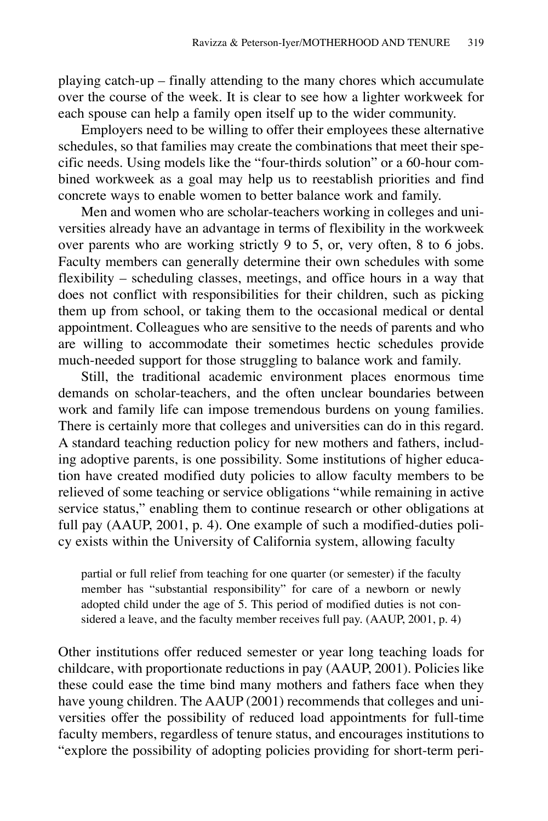playing catch-up – finally attending to the many chores which accumulate over the course of the week. It is clear to see how a lighter workweek for each spouse can help a family open itself up to the wider community.

Employers need to be willing to offer their employees these alternative schedules, so that families may create the combinations that meet their specific needs. Using models like the "four-thirds solution" or a 60-hour combined workweek as a goal may help us to reestablish priorities and find concrete ways to enable women to better balance work and family.

Men and women who are scholar-teachers working in colleges and universities already have an advantage in terms of flexibility in the workweek over parents who are working strictly 9 to 5, or, very often, 8 to 6 jobs. Faculty members can generally determine their own schedules with some flexibility – scheduling classes, meetings, and office hours in a way that does not conflict with responsibilities for their children, such as picking them up from school, or taking them to the occasional medical or dental appointment. Colleagues who are sensitive to the needs of parents and who are willing to accommodate their sometimes hectic schedules provide much-needed support for those struggling to balance work and family.

Still, the traditional academic environment places enormous time demands on scholar-teachers, and the often unclear boundaries between work and family life can impose tremendous burdens on young families. There is certainly more that colleges and universities can do in this regard. A standard teaching reduction policy for new mothers and fathers, including adoptive parents, is one possibility. Some institutions of higher education have created modified duty policies to allow faculty members to be relieved of some teaching or service obligations "while remaining in active service status," enabling them to continue research or other obligations at full pay (AAUP, 2001, p. 4). One example of such a modified-duties policy exists within the University of California system, allowing faculty

partial or full relief from teaching for one quarter (or semester) if the faculty member has "substantial responsibility" for care of a newborn or newly adopted child under the age of 5. This period of modified duties is not considered a leave, and the faculty member receives full pay. (AAUP, 2001, p. 4)

Other institutions offer reduced semester or year long teaching loads for childcare, with proportionate reductions in pay (AAUP, 2001). Policies like these could ease the time bind many mothers and fathers face when they have young children. The AAUP (2001) recommends that colleges and universities offer the possibility of reduced load appointments for full-time faculty members, regardless of tenure status, and encourages institutions to "explore the possibility of adopting policies providing for short-term peri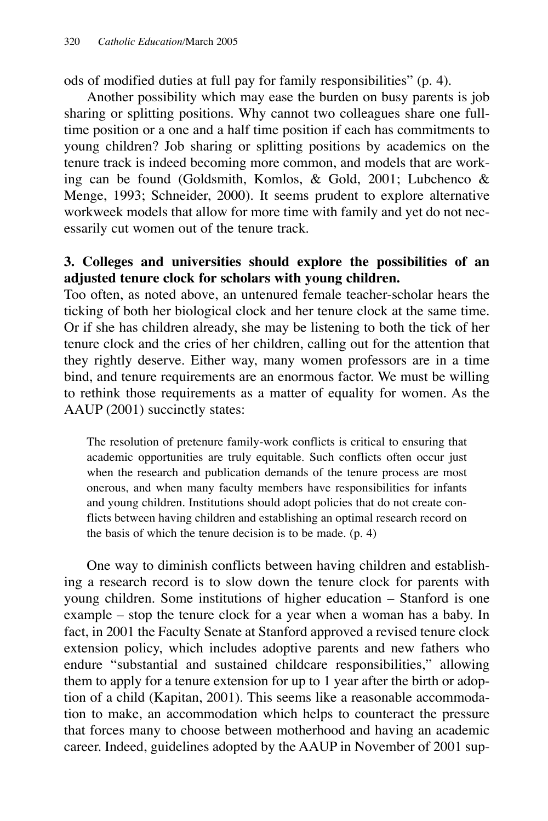ods of modified duties at full pay for family responsibilities" (p. 4).

Another possibility which may ease the burden on busy parents is job sharing or splitting positions. Why cannot two colleagues share one fulltime position or a one and a half time position if each has commitments to young children? Job sharing or splitting positions by academics on the tenure track is indeed becoming more common, and models that are working can be found (Goldsmith, Komlos, & Gold, 2001; Lubchenco & Menge, 1993; Schneider, 2000). It seems prudent to explore alternative workweek models that allow for more time with family and yet do not necessarily cut women out of the tenure track.

### **3. Colleges and universities should explore the possibilities of an adjusted tenure clock for scholars with young children.**

Too often, as noted above, an untenured female teacher-scholar hears the ticking of both her biological clock and her tenure clock at the same time. Or if she has children already, she may be listening to both the tick of her tenure clock and the cries of her children, calling out for the attention that they rightly deserve. Either way, many women professors are in a time bind, and tenure requirements are an enormous factor. We must be willing to rethink those requirements as a matter of equality for women. As the AAUP (2001) succinctly states:

The resolution of pretenure family-work conflicts is critical to ensuring that academic opportunities are truly equitable. Such conflicts often occur just when the research and publication demands of the tenure process are most onerous, and when many faculty members have responsibilities for infants and young children. Institutions should adopt policies that do not create conflicts between having children and establishing an optimal research record on the basis of which the tenure decision is to be made. (p. 4)

One way to diminish conflicts between having children and establishing a research record is to slow down the tenure clock for parents with young children. Some institutions of higher education – Stanford is one example – stop the tenure clock for a year when a woman has a baby. In fact, in 2001 the Faculty Senate at Stanford approved a revised tenure clock extension policy, which includes adoptive parents and new fathers who endure "substantial and sustained childcare responsibilities," allowing them to apply for a tenure extension for up to 1 year after the birth or adoption of a child (Kapitan, 2001). This seems like a reasonable accommodation to make, an accommodation which helps to counteract the pressure that forces many to choose between motherhood and having an academic career. Indeed, guidelines adopted by the AAUP in November of 2001 sup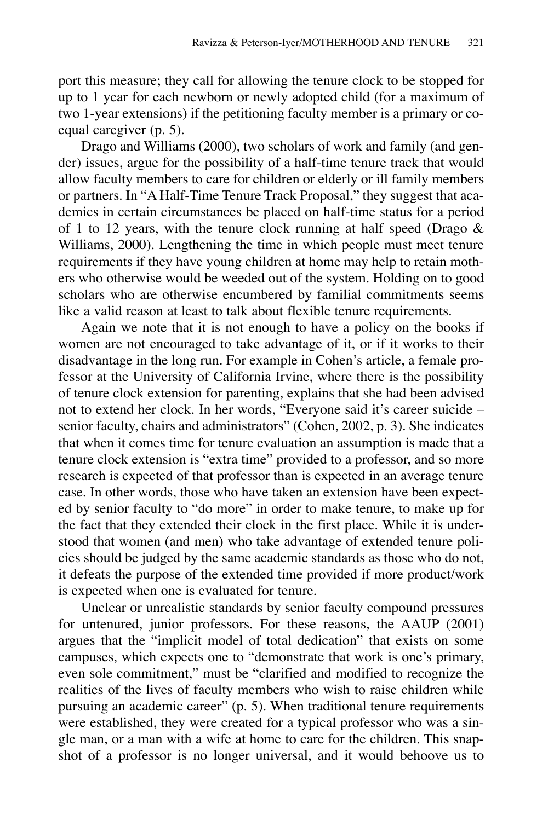port this measure; they call for allowing the tenure clock to be stopped for up to 1 year for each newborn or newly adopted child (for a maximum of two 1-year extensions) if the petitioning faculty member is a primary or coequal caregiver (p. 5).

Drago and Williams (2000), two scholars of work and family (and gender) issues, argue for the possibility of a half-time tenure track that would allow faculty members to care for children or elderly or ill family members or partners. In "A Half-Time Tenure Track Proposal," they suggest that academics in certain circumstances be placed on half-time status for a period of 1 to 12 years, with the tenure clock running at half speed (Drago  $\&$ Williams, 2000). Lengthening the time in which people must meet tenure requirements if they have young children at home may help to retain mothers who otherwise would be weeded out of the system. Holding on to good scholars who are otherwise encumbered by familial commitments seems like a valid reason at least to talk about flexible tenure requirements.

Again we note that it is not enough to have a policy on the books if women are not encouraged to take advantage of it, or if it works to their disadvantage in the long run. For example in Cohen's article, a female professor at the University of California Irvine, where there is the possibility of tenure clock extension for parenting, explains that she had been advised not to extend her clock. In her words, "Everyone said it's career suicide – senior faculty, chairs and administrators" (Cohen, 2002, p. 3). She indicates that when it comes time for tenure evaluation an assumption is made that a tenure clock extension is "extra time" provided to a professor, and so more research is expected of that professor than is expected in an average tenure case. In other words, those who have taken an extension have been expected by senior faculty to "do more" in order to make tenure, to make up for the fact that they extended their clock in the first place. While it is understood that women (and men) who take advantage of extended tenure policies should be judged by the same academic standards as those who do not, it defeats the purpose of the extended time provided if more product/work is expected when one is evaluated for tenure.

Unclear or unrealistic standards by senior faculty compound pressures for untenured, junior professors. For these reasons, the AAUP (2001) argues that the "implicit model of total dedication" that exists on some campuses, which expects one to "demonstrate that work is one's primary, even sole commitment," must be "clarified and modified to recognize the realities of the lives of faculty members who wish to raise children while pursuing an academic career" (p. 5). When traditional tenure requirements were established, they were created for a typical professor who was a single man, or a man with a wife at home to care for the children. This snapshot of a professor is no longer universal, and it would behoove us to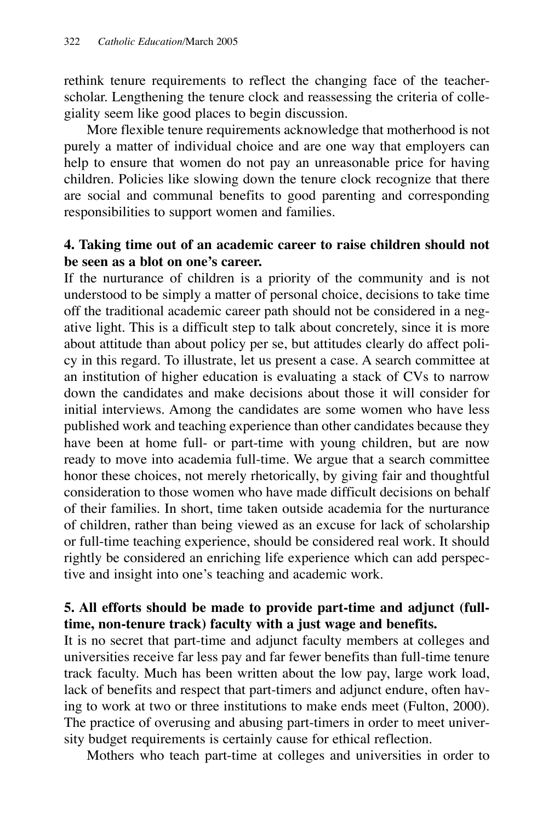rethink tenure requirements to reflect the changing face of the teacherscholar. Lengthening the tenure clock and reassessing the criteria of collegiality seem like good places to begin discussion.

More flexible tenure requirements acknowledge that motherhood is not purely a matter of individual choice and are one way that employers can help to ensure that women do not pay an unreasonable price for having children. Policies like slowing down the tenure clock recognize that there are social and communal benefits to good parenting and corresponding responsibilities to support women and families.

### **4. Taking time out of an academic career to raise children should not be seen as a blot on one's career.**

If the nurturance of children is a priority of the community and is not understood to be simply a matter of personal choice, decisions to take time off the traditional academic career path should not be considered in a negative light. This is a difficult step to talk about concretely, since it is more about attitude than about policy per se, but attitudes clearly do affect policy in this regard. To illustrate, let us present a case. A search committee at an institution of higher education is evaluating a stack of CVs to narrow down the candidates and make decisions about those it will consider for initial interviews. Among the candidates are some women who have less published work and teaching experience than other candidates because they have been at home full- or part-time with young children, but are now ready to move into academia full-time. We argue that a search committee honor these choices, not merely rhetorically, by giving fair and thoughtful consideration to those women who have made difficult decisions on behalf of their families. In short, time taken outside academia for the nurturance of children, rather than being viewed as an excuse for lack of scholarship or full-time teaching experience, should be considered real work. It should rightly be considered an enriching life experience which can add perspective and insight into one's teaching and academic work.

## **5. All efforts should be made to provide part-time and adjunct (fulltime, non-tenure track) faculty with a just wage and benefits.**

It is no secret that part-time and adjunct faculty members at colleges and universities receive far less pay and far fewer benefits than full-time tenure track faculty. Much has been written about the low pay, large work load, lack of benefits and respect that part-timers and adjunct endure, often having to work at two or three institutions to make ends meet (Fulton, 2000). The practice of overusing and abusing part-timers in order to meet university budget requirements is certainly cause for ethical reflection.

Mothers who teach part-time at colleges and universities in order to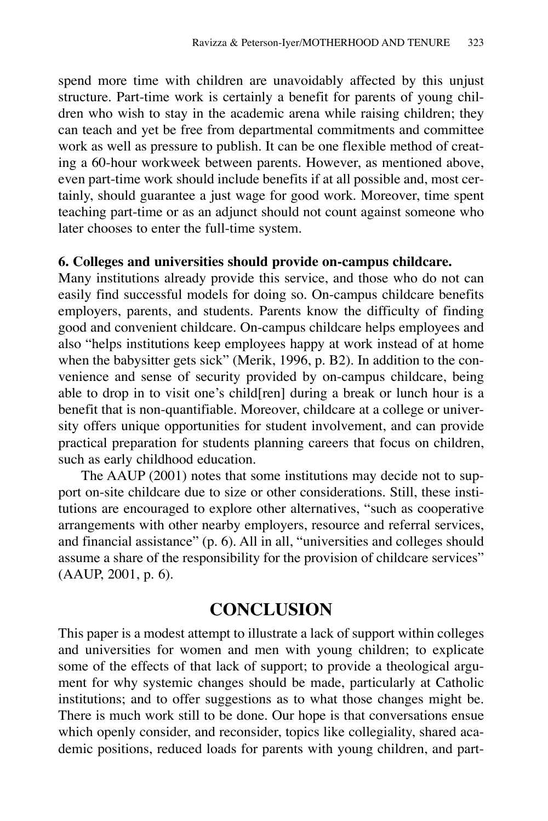spend more time with children are unavoidably affected by this unjust structure. Part-time work is certainly a benefit for parents of young children who wish to stay in the academic arena while raising children; they can teach and yet be free from departmental commitments and committee work as well as pressure to publish. It can be one flexible method of creating a 60-hour workweek between parents. However, as mentioned above, even part-time work should include benefits if at all possible and, most certainly, should guarantee a just wage for good work. Moreover, time spent teaching part-time or as an adjunct should not count against someone who later chooses to enter the full-time system.

#### **6. Colleges and universities should provide on-campus childcare.**

Many institutions already provide this service, and those who do not can easily find successful models for doing so. On-campus childcare benefits employers, parents, and students. Parents know the difficulty of finding good and convenient childcare. On-campus childcare helps employees and also "helps institutions keep employees happy at work instead of at home when the babysitter gets sick" (Merik, 1996, p. B2). In addition to the convenience and sense of security provided by on-campus childcare, being able to drop in to visit one's child[ren] during a break or lunch hour is a benefit that is non-quantifiable. Moreover, childcare at a college or university offers unique opportunities for student involvement, and can provide practical preparation for students planning careers that focus on children, such as early childhood education.

The AAUP (2001) notes that some institutions may decide not to support on-site childcare due to size or other considerations. Still, these institutions are encouraged to explore other alternatives, "such as cooperative arrangements with other nearby employers, resource and referral services, and financial assistance" (p. 6). All in all, "universities and colleges should assume a share of the responsibility for the provision of childcare services" (AAUP, 2001, p. 6).

## **CONCLUSION**

This paper is a modest attempt to illustrate a lack of support within colleges and universities for women and men with young children; to explicate some of the effects of that lack of support; to provide a theological argument for why systemic changes should be made, particularly at Catholic institutions; and to offer suggestions as to what those changes might be. There is much work still to be done. Our hope is that conversations ensue which openly consider, and reconsider, topics like collegiality, shared academic positions, reduced loads for parents with young children, and part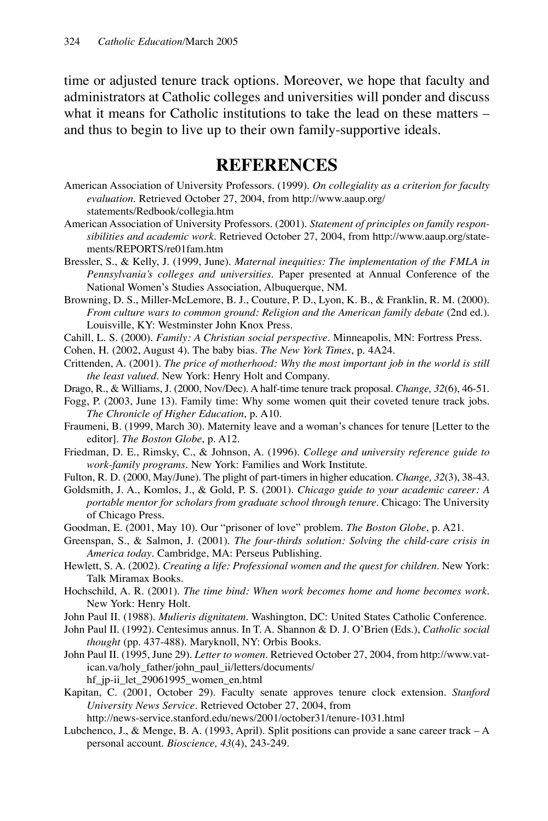time or adjusted tenure track options. Moreover, we hope that faculty and administrators at Catholic colleges and universities will ponder and discuss what it means for Catholic institutions to take the lead on these matters – and thus to begin to live up to their own family-supportive ideals.

## **REFERENCES**

- American Association of University Professors. (1999). *On collegiality as a criterion for faculty evaluation*. Retrieved October 27, 2004, from http://www.aaup.org/ statements/Redbook/collegia.htm
- American Association of University Professors. (2001). *Statement of principles on family responsibilities and academic work*. Retrieved October 27, 2004, from http://www.aaup.org/statements/REPORTS/re01fam.htm
- Bressler, S., & Kelly, J. (1999, June). *Maternal inequities: The implementation of the FMLA in Pennsylvania's colleges and universities*. Paper presented at Annual Conference of the National Women's Studies Association, Albuquerque, NM.
- Browning, D. S., Miller-McLemore, B. J., Couture, P. D., Lyon, K. B., & Franklin, R. M. (2000). *From culture wars to common ground: Religion and the American family debate* (2nd ed.). Louisville, KY: Westminster John Knox Press.
- Cahill, L. S. (2000). *Family: A Christian social perspective*. Minneapolis, MN: Fortress Press.
- Cohen, H. (2002, August 4). The baby bias. *The New York Times*, p. 4A24.
- Crittenden, A. (2001). *The price of motherhood: Why the most important job in the world is still the least valued*. New York: Henry Holt and Company.
- Drago, R., & Williams, J. (2000, Nov/Dec). A half-time tenure track proposal. *Change, 32*(6), 46-51.
- Fogg, P. (2003, June 13). Family time: Why some women quit their coveted tenure track jobs. *The Chronicle of Higher Education*, p. A10.
- Fraumeni, B. (1999, March 30). Maternity leave and a woman's chances for tenure [Letter to the editor]. *The Boston Globe*, p. A12.
- Friedman, D. E., Rimsky, C., & Johnson, A. (1996). *College and university reference guide to work-family programs*. New York: Families and Work Institute.
- Fulton, R. D. (2000, May/June). The plight of part-timers in higher education. *Change, 32*(3), 38-43.
- Goldsmith, J. A., Komlos, J., & Gold, P. S. (2001). *Chicago guide to your academic career: A portable mentor for scholars from graduate school through tenure*. Chicago: The University of Chicago Press.
- Goodman, E. (2001, May 10). Our "prisoner of love" problem. *The Boston Globe*, p. A21.
- Greenspan, S., & Salmon, J. (2001). *The four-thirds solution: Solving the child-care crisis in America today*. Cambridge, MA: Perseus Publishing.
- Hewlett, S. A. (2002). *Creating a life: Professional women and the quest for children*. New York: Talk Miramax Books.
- Hochschild, A. R. (2001). *The time bind: When work becomes home and home becomes work*. New York: Henry Holt.
- John Paul II. (1988). *Mulieris dignitatem*. Washington, DC: United States Catholic Conference.
- John Paul II. (1992). Centesimus annus. In T. A. Shannon & D. J. O'Brien (Eds.), *Catholic social thought* (pp. 437-488). Maryknoll, NY: Orbis Books.
- John Paul II. (1995, June 29). *Letter to women*. Retrieved October 27, 2004, from http://www.vatican.va/holy\_father/john\_paul\_ii/letters/documents/ hf\_jp-ii\_let\_29061995\_women\_en.html
- Kapitan, C. (2001, October 29). Faculty senate approves tenure clock extension. *Stanford University News Service*. Retrieved October 27, 2004, from http://news-service.stanford.edu/news/2001/october31/tenure-1031.html
- Lubchenco, J., & Menge, B. A. (1993, April). Split positions can provide a sane career track A personal account. *Bioscience, 43*(4), 243-249.